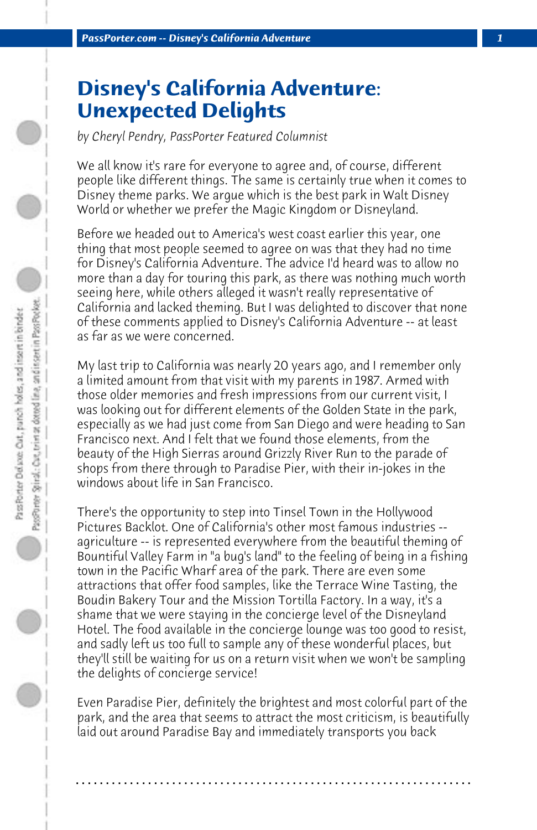## **Disney's California Adventure: Unexpected Delights**

*by Cheryl Pendry, PassPorter Featured Columnist*

We all know it's rare for everyone to agree and, of course, different people like different things. The same is certainly true when it comes to Disney theme parks. We argue which is the best park in Walt Disney World or whether we prefer the Magic Kingdom or Disneyland.

Before we headed out to America's west coast earlier this year, one thing that most people seemed to agree on was that they had no time for Disney's California Adventure. The advice I'd heard was to allow no more than a day for touring this park, as there was nothing much worth seeing here, while others alleged it wasn't really representative of California and lacked theming. But I was delighted to discover that none of these comments applied to Disney's California Adventure -- at least as far as we were concerned.

My last trip to California was nearly 20 years ago, and I remember only a limited amount from that visit with my parents in 1987. Armed with those older memories and fresh impressions from our current visit, I was looking out for different elements of the Golden State in the park, especially as we had just come from San Diego and were heading to San Francisco next. And I felt that we found those elements, from the beauty of the High Sierras around Grizzly River Run to the parade of shops from there through to Paradise Pier, with their in-jokes in the windows about life in San Francisco.

There's the opportunity to step into Tinsel Town in the Hollywood Pictures Backlot. One of California's other most famous industries - agriculture -- is represented everywhere from the beautiful theming of Bountiful Valley Farm in "a bug's land" to the feeling of being in a fishing town in the Pacific Wharf area of the park. There are even some attractions that offer food samples, like the Terrace Wine Tasting, the Boudin Bakery Tour and the Mission Tortilla Factory. In a way, it's a shame that we were staying in the concierge level of the Disneyland Hotel. The food available in the concierge lounge was too good to resist, and sadly left us too full to sample any of these wonderful places, but they'll still be waiting for us on a return visit when we won't be sampling the delights of concierge service!

Even Paradise Pier, definitely the brightest and most colorful part of the park, and the area that seems to attract the most criticism, is beautifully laid out around Paradise Bay and immediately transports you back

**. . . . . . . . . . . . . . . . . . . . . . . . . . . . . . . . . . . . . . . . . . . . . . . . . . . . . . . . . . . . . . . . . .**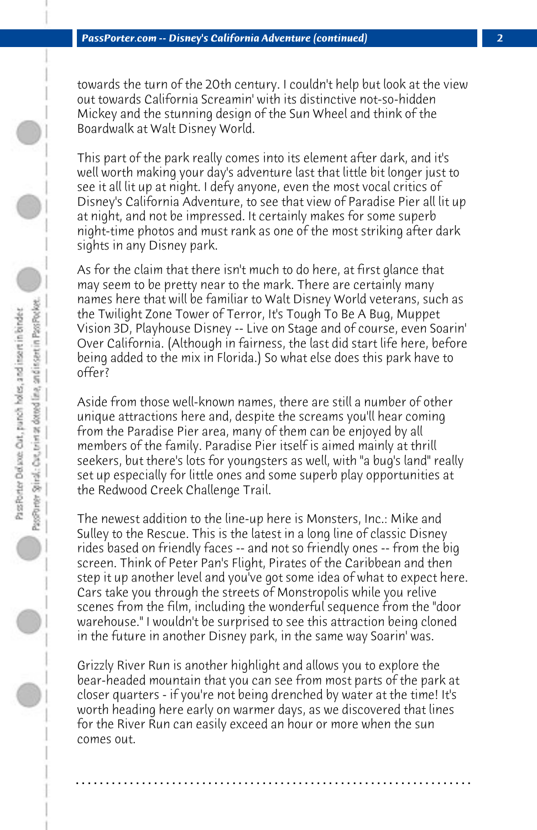towards the turn of the 20th century. I couldn't help but look at the view out towards California Screamin' with its distinctive not-so-hidden Mickey and the stunning design of the Sun Wheel and think of the Boardwalk at Walt Disney World.

This part of the park really comes into its element after dark, and it's well worth making your day's adventure last that little bit longer just to see it all lit up at night. I defy anyone, even the most vocal critics of Disney's California Adventure, to see that view of Paradise Pier all lit up at night, and not be impressed. It certainly makes for some superb night-time photos and must rank as one of the most striking after dark sights in any Disney park.

As for the claim that there isn't much to do here, at first glance that may seem to be pretty near to the mark. There are certainly many names here that will be familiar to Walt Disney World veterans, such as the Twilight Zone Tower of Terror, It's Tough To Be A Bug, Muppet Vision 3D, Playhouse Disney -- Live on Stage and of course, even Soarin' Over California. (Although in fairness, the last did start life here, before being added to the mix in Florida.) So what else does this park have to offer?

Aside from those well-known names, there are still a number of other unique attractions here and, despite the screams you'll hear coming from the Paradise Pier area, many of them can be enjoyed by all members of the family. Paradise Pier itself is aimed mainly at thrill seekers, but there's lots for youngsters as well, with "a bug's land" really set up especially for little ones and some superb play opportunities at the Redwood Creek Challenge Trail.

The newest addition to the line-up here is Monsters, Inc.: Mike and Sulley to the Rescue. This is the latest in a long line of classic Disney rides based on friendly faces -- and not so friendly ones -- from the big screen. Think of Peter Pan's Flight, Pirates of the Caribbean and then step it up another level and you've got some idea of what to expect here. Cars take you through the streets of Monstropolis while you relive scenes from the film, including the wonderful sequence from the "door warehouse." I wouldn't be surprised to see this attraction being cloned in the future in another Disney park, in the same way Soarin' was.

Grizzly River Run is another highlight and allows you to explore the bear-headed mountain that you can see from most parts of the park at closer quarters - if you're not being drenched by water at the time! It's worth heading here early on warmer days, as we discovered that lines for the River Run can easily exceed an hour or more when the sun comes out.

**. . . . . . . . . . . . . . . . . . . . . . . . . . . . . . . . . . . . . . . . . . . . . . . . . . . . . . . . . . . . . . . . . .**